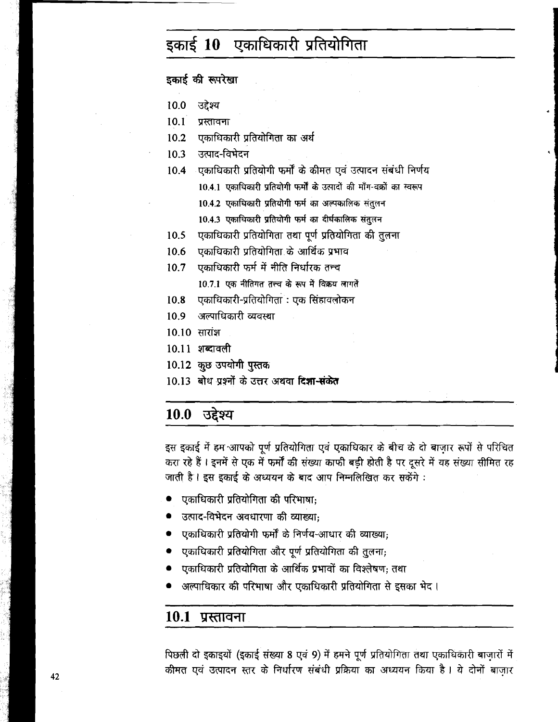# इकाई 10 एकाधिकारी प्रतियोगिता

इकाई की रूपरेखा

- 10.0 उद्देश्य
- $10.1$ प्रस्तावना
- $10<sub>2</sub>$ एकाधिकारी प्रतियोगिता का अर्थ
- $10.3$ उत्पाद-विभेदन
- $10.4$ एकाधिकारी प्रतियोगी फर्मों के कीमत एवं उत्पादन संबंधी निर्णय
	- 10.4.1 एकाधिकारी प्रतियोगी फर्मों के उत्पादों की माँग-वक्रों का स्वरूप
	- 10.4.2 एकाधिकारी प्रतियोगी फर्म का अल्पकालिक संतुलन
	- 10.4.3 एकाधिकारी प्रतियोगी फर्म का दीर्घकालिक संतुलन
- एकाधिकारी प्रतियोगिता तथा पूर्ण प्रतियोगिता की तुलना 10.5
- एकाधिकारी प्रतियोगिता के आर्थिक प्रभाव  $10<sub>6</sub>$
- एकाधिकारी फर्म में नीति निर्धारक तन्च  $10.7$ 10.7.1 एक नीतिगत तत्त्व के रूप में विक्रय लागतें
- $10.8$ एकाधिकारी-प्रतियोगिता : एक सिंहावलोकन
- अल्पाधिकारी व्यवस्था  $109$
- 10.10 सारांश
- $10.11$  शब्दावली
- 10.12 कुछ उपयोगी पुस्तक
- 10.13 बोध प्रश्नों के उत्तर अथवा दिशा-संकेत

#### उद्देश्य 10.0

इस इकाई में हम आपको पूर्ण प्रतियोगिता एवं एकाधिकार के बीच के दो बाज़ार रूपों से परिचित करा रहे हैं। इनमें से एक में फर्मों की संख्या काफी बड़ी होती है पर दूसरे में यह संख्या सीमित रह जाती है। इस इकाई के अध्ययन के बाद आप निम्नलिखित कर सकेंगे :

- एकाधिकारी प्रतियोगिता की परिभाषा;
- उत्पाद-विभेदन अवधारणा की व्याख्या;
- एकाधिकारी प्रतियोगी फर्मों के निर्णय-आधार की व्याख्या;
- एकाधिकारी प्रतियोगिता और पूर्ण प्रतियोगिता की तुलना,
- एकाधिकारी प्रतियोगिता के आर्थिक प्रभावों का विश्लेषण: तथा
- अल्पाधिकार की परिभाषा और एकाधिकारी प्रतियोगिता से इसका भेद ।

#### 10.1 प्रस्तावना

पिछली दो इकाइयों (इकाई संख्या 8 एवं 9) में हमने पूर्ण प्रतियोगिता तथा एकाधिकारी बाजारों में कीमत एवं उत्पादन स्तर के निर्धारण संबंधी प्रक्रिया का अध्ययन किया है। ये दोनों बाज़ार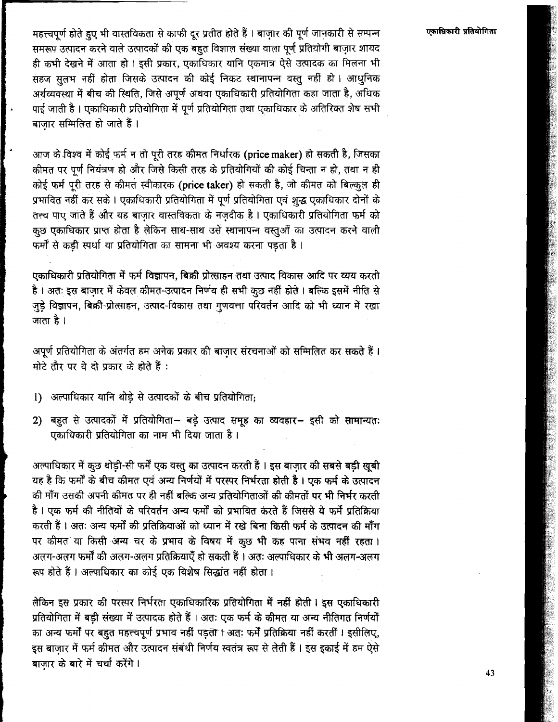एकाधिकारी प्रतियोगिता

महत्त्वपर्ण होते हुए भी वास्तविकता से काफी दर प्रतीत होते हैं । बाजार की पूर्ण जानकारी से सम्पन्न समरूप उत्पादन करने वाले उत्पादकों की एक बहुत विशाल संख्या वाला पूर्ण प्रतियोगी बाजार शायद .<br>ही कभी देखने में आता हो । इसी प्रकार, एकाधिकार यानि एकमात्र ऐसे उत्पादक का मिलना भी सहज सलभ नहीं होता जिसके उत्पादन की कोई निकट स्थानापन्न वस्तु नहीं हो । आधुनिक अर्थव्यवस्था में बीच की स्थिति, जिसे अपूर्ण अथवा एकाधिकारी प्रतियोगिता कहा जाता है, अधिक पाई जाती है। एकाधिकारी प्रतियोगिता में पूर्ण प्रतियोगिता तथा एकाधिकार के अतिरिक्त शेष सभी बाजार सम्मिलित हो जाते हैं।

आज के विश्व में कोई फर्म न तो पूरी तरह कीमत निर्धारक (price maker) हो सकती है, जिसका कीमत पर पर्ण नियंत्रण हो और जिसे किसी तरह के प्रतियोगियों की कोई चिन्ता न हो, तथा न ही कोई फर्म पूरी तरह से कीमत स्वीकारक (price taker) हो सकती है, जो कीमत को बिल्कुल ही प्रभावित नहीं कर सके। एकाधिकारी प्रतियोगिता में पूर्ण प्रतियोगिता एवं शुद्ध एकाधिकार दोनों के तत्त्व पाए जाते हैं और यह बाजार वास्तविकता के नजदीक है। एकाधिकारी प्रतियोगिता फर्म को कुछ एकाधिकार प्राप्त होता है लेकिन साथ-साथ उसे स्थानापन्न वस्तुओं का उत्पादन करने वाली .<br>फर्मों से कडी स्पर्धा या प्रतियोगिता का सामना भी अवश्य करना पड़ता है।

एकाधिकारी प्रतियोगिता में फर्म विज्ञापन, बिक्री प्रोत्साहन तथा उत्पाद विकास आदि पर व्यय करती है । अतः इस बाजार में केवल कीमत-उत्पादन निर्णय ही सभी कुछ नहीं होते । बल्कि इसमें नीति से जुडे विज्ञापन, बिक्री-प्रोत्साहन, उत्पाद-विकास तथा गुणवत्ता परिवर्तन आदि को भी ध्यान में रखा जाता है।

अपूर्ण प्रतियोगिता के अंतर्गत हम अनेक प्रकार की बाजार संरचनाओं को सम्मिलित कर सकते हैं। मोटे तौर पर ये दो प्रकार के होते हैं :

- 1) अल्पाधिकार यानि थोड़े से उत्पादकों के बीच प्रतियोगिता;
- 2) बहुत से उत्पादकों में प्रतियोगिता- बड़े उत्पाद समूह का व्यवहार- इसी को सामान्यतः एकाधिकारी प्रतियोगिता का नाम भी दिया जाता है।

अल्पाधिकार में कुछ थोड़ी-सी फर्में एक वस्तु का उत्पादन करती हैं । इस बाजार की सबसे बड़ी खुबी यह है कि फर्मों के बीच कीमत एवं अन्य निर्णयों में परस्पर निर्भरता होती है। एक फर्म के उत्पादन की माँग उसकी अपनी कीमत पर ही नहीं बल्कि अन्य प्रतियोगिताओं की कीमतों पर भी निर्भर करती है। एक फर्म की नीतियों के परिवर्तन अन्य फर्मों को प्रभावित करते हैं जिससे ये फर्में प्रतिक्रिया करती हैं। अतः अन्य फर्मों की प्रतिक्रियाओं को ध्यान में रखे बिना किसी फर्म के उत्पादन की माँग पर कीमत या किसी अन्य चर के प्रभाव के विषय में कुछ भी कह पाना संभव नहीं रहता। अलग-अलग फर्मों की अलग-अलग प्रतिक्रियाएँ हो सकती हैं । अतः अल्पाधिकार के भी अलग-अलग रूप होते हैं। अल्पाधिकार का कोई एक विशेष सिद्धांत नहीं होता।

लेकिन इस प्रकार की परस्पर निर्भरता एकाधिकारिक प्रतियोगिता में नहीं होती। इस एकाधिकारी प्रतियोगिता में बड़ी संख्या में उत्पादक होते हैं। अतः एक फर्म के कीमत या अन्य नीतिगत निर्णयों का अन्य फर्मों पर बहुत महत्त्वपूर्ण प्रभाव नहीं पड़ता । अतः फर्में प्रतिक्रिया नहीं करतीं । इसीलिए, इस बाज़ार में फर्म कीमत और उत्पादन संबंधी निर्णय स्वतंत्र रूप से लेती हैं। इस इकाई में हम ऐसे बाजार के बारे में चर्चा करेंगे।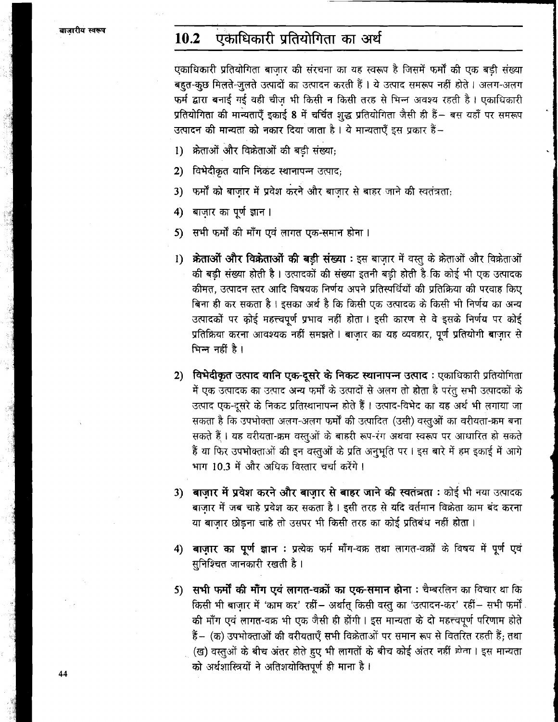#### 10.2 एकाधिकारी प्रतियोगिता का अर्थ

एकाधिकारी प्रतियोगिता बाज़ार की संरचना का यह स्वरूप है जिसमें फर्मों की एक बड़ी संख्या बहुत-कुछ मिलते-जुलते उत्पादों का उत्पादन करती हैं। ये उत्पाद समरूप नहीं होते। अलग-अलग फर्म द्वारा बनाई गई वही चीज भी किसी न किसी तरह से भिन्न अवश्य रहती है। एकाधिकारी प्रतियोगिता की मान्यताएँ इकाई 8 में चर्चित शुद्ध प्रतियोगिता जैसी ही हैं- बस यहाँ पर समरूप उत्पादन की मान्यता को नकार दिया जाता है। ये मान्यताएँ इस प्रकार हैं–

- 1) क्रेताओं और विक्रेताओं की बड़ी संख्या:
- विभेदीकृत यानि निकट स्थानापन्न उत्पाद;  $2)$
- फर्मों को बाजार में प्रवेश करने और बाजार से बाहर जाने की स्वतंत्रता:  $3)$
- 4) बाज़ार का पूर्ण ज्ञान।
- 5) सभी फर्मों की माँग एवं लागत एक-समान होना।
- 1) क्रेताओं और विक्रेताओं की बड़ी संख्या : इस बाजार में वस्तु के क्रेताओं और विक्रेताओं की बड़ी संख्या होती है। उत्पादकों की संख्या इतनी बड़ी होती है कि कोई भी एक उत्पादक कीमत, उत्पादन स्तर आदि विषयक निर्णय अपने प्रतिस्पर्धियों की प्रतिक्रिया की परवाह किए बिना ही कर सकता है। इसका अर्थ है कि किसी एक उत्पादक के किसी भी निर्णय का अन्य उत्पादकों पर कोई महत्त्वपूर्ण प्रभाव नहीं होता । इसी कारण से वे इसके निर्णय पर कोई प्रतिक्रिया करना आवश्यक नहीं समझते । बाजार का यह व्यवहार, पूर्ण प्रतियोगी बाज़ार से भिन्न नहीं है।
- 2) विभेदीकृत उत्पाद यानि एक-दूसरे के निकट स्थानापन्न उत्पाद: एकाधिकारी प्रतियोगिता में एक उत्पादक का उत्पाद अन्य फर्मों के उत्पादों से अलग तो होता है परंतु सभी उत्पादकों के उत्पाद एक-दूसरे के निकट प्रतिस्थानापन्न होते हैं। उत्पाद-विभेद का यह अर्थ भी लगाया जा सकता है कि उपभोक्ता अलग-अलग फर्मों की उत्पादित (उसी) वस्तुओं का वरीयता-क्रम बना सकते हैं। यह वरीयता-क्रम वस्तुओं के बाहरी रूप-रंग अथवा स्वरूप पर आधारित हो सकते हैं या फिर उपभोक्ताओं की इन वस्तुओं के प्रति अनुभूति पर। इस बारे में हम इकाई में आगे भाग 10.3 में और अधिक विस्तार चर्चा करेंगे।
- 3) बाज़ार में प्रवेश करने और बाज़ार से बाहर जाने की स्वतंत्रता : कोई भी नया उत्पादक बाज़ार में जब चाहे प्रवेश कर सकता है। इसी तरह से यदि वर्तमान विक्रेता काम बंद करना या बाज़ार छोड़ना चाहे तो उसपर भी किसी तरह का कोई प्रतिबंध नहीं होता।
- 4) बाज़ार का पूर्ण ज्ञान : प्रत्येक फर्म माँग-वक्र तथा लागत-वक्रों के विषय में पूर्ण एवं सुनिश्चित जानकारी रखती है।
- सभी फर्मों की माँग एवं लागत-वक्रों का एक-समान होना : चैम्बरलिन का विचार था कि  $5)$ किसी भी बाज़ार में 'काम कर' रहीं - अर्थात् किसी वस्तु का 'उत्पादन-कर' रहीं - सभी फर्मी की माँग एवं लागत-वक्र भी एक जैसी ही होंगी। इस मान्यता के दो महत्त्वपूर्ण परिणाम होते हैं- (क) उपभोक्ताओं की वरीयताएँ सभी विक्रेताओं पर समान रूप से वितरित रहती हैं; तथा (ख) वस्तुओं के बीच अंतर होते हुए भी लागतों के बीच कोई अंतर नहीं होता। इस मान्यता को अर्थशास्त्रियों ने अतिशयोक्तिपूर्ण ही माना है।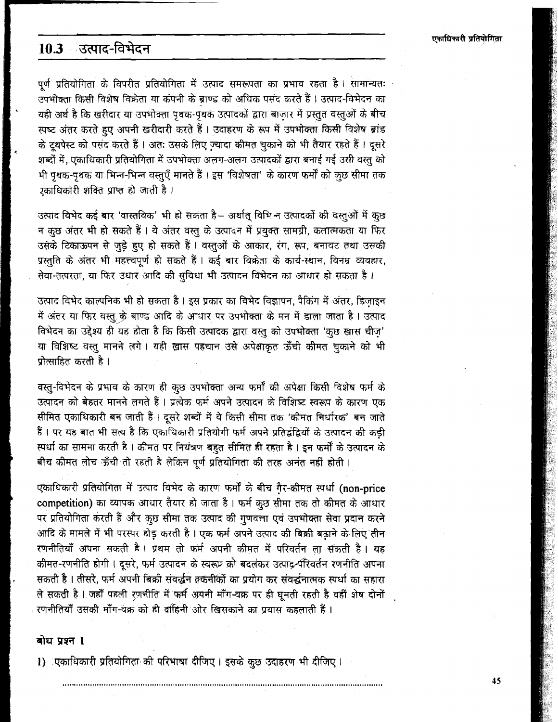#### ं उत्पाद-विभेदन  $10.3$

पूर्ण प्रतियोगिता के विपरीत प्रतियोगिता में उत्पाद समरूपता का प्रभाव रहता है। सामान्यतः उपभोक्ता किसी विशेष विक्रेता या कंपनी के ब्राण्ड को अधिक पसंद करते हैं। उत्पाद-विभेदन का यही अर्थ है कि खरीदार या उपभोक्ता पृथक-पृथक उत्पादकों द्वारा बाजार में प्रस्तुत वस्तुओं के बीच स्पष्ट अंतर करते हुए अपनी खरीदारी करते हैं। उदाहरण के रूप में उपभोक्ता किसी विशेष ब्रांड के दृथपेस्ट को पसंद करते हैं। अतः उसके लिए ज्यादा कीमत चुकाने को भी तैयार रहते हैं। दूसरे शब्दों में, एकाधिकारी प्रतियोगिता में उपभोक्ता अलग-अलग उत्पादकों द्वारा बनाई गई उसी वस्तु को भी पृथक-पृथक या भिन्न-भिन्न वस्तुएँ मानते हैं। इस 'विशेषता' के कारण फर्मी को कुछ सीमा तक .<br>रकाधिकारी शक्ति प्राप्त हो जाती है।

उत्पाद विभेद कई बार 'वास्तविक' भी हो सकता है– अर्थात् विभिन्न उत्पादकों की वस्तुओं में कुछ न कुछ अंतर भी हो सकते हैं। ये अंतर वस्तु के उत्पादन में प्रयुक्त सामग्री, कलात्मकता या फिर उसके टिकाऊपन से जुड़े हुए हो सकते हैं। वस्तुओं के आकार, रंग, रूप, बनावट तथा उसकी प्रस्तुति के अंतर भी महत्त्वपूर्ण हो सकते हैं। कई बार विक्रेता के कार्य-स्थान, विनम्र व्यवहार, सेवा-तत्परता. या फिर उधार आदि की सविधा भी उत्पादन विभेदन का आधार हो सकता है।

उत्पाद विभेद काल्पनिक भी हो सकता है। इस प्रकार का विभेद विज्ञापन, पैकिंग में अंतर, डिजाइन में अंतर या फिर वस्तु के बाण्ड आदि के आधार पर उपभोक्ता के मन में डाला जाता है। उत्पाद विभेदन का उद्देश्य ही यह होता है कि किसी उत्पादक द्वारा वस्तु को उपभोक्ता 'कुछ खास चीज़' या विशिष्ट वस्तु मानने लगे। यही ख़ास पहचान उसे अपेक्षाकृत ऊँची कीमत चुकाने को भी प्रोत्साहित करती है।

वस्तु-विभेदन के प्रभाव के कारण ही कुछ उपभोक्ता अन्य फर्मों की अपेक्षा किसी विशेष फर्म के उत्पादन को बेहतर मानने लगते हैं। प्रत्येक फर्म अपने उत्पादन के विशिष्ट स्वरूप के कारण एक सीमित एकाधिकारी बन जाती हैं। दूसरे शब्दों में वे किसी सीमा तक 'कीमत निर्धारक' बन जाते हैं। पर यह बात भी सत्य है कि एकाधिकारी प्रतियोगी फर्म अपने प्रतिद्वंद्वियों के उत्पादन की कड़ी स्पर्धा का सामना करती है। कीमत पर नियंत्रण बहुत सीमित ही रहता है। इन फर्मों के उत्पादन के बीच कीमत लोच ऊँची तो रहती है लेकिन पूर्ण प्रतियोगिता की तरह अनंत नहीं होती।

एकाधिकारी प्रतियोगिता में उत्पाद विभेद के कारण फर्मों के बीच गैर-कीमत स्पर्धा (non-price competition) का व्यापक आधार तैयार हो जाता है। फर्म कुछ सीमा तक तो कीमत के आधार पर प्रतियोगिता करती हैं और कुछ सीमा तक उत्पाद की गुणवत्ता एवं उपभोक्ता सेवा प्रदान करने आदि के मामले में भी परस्पर होड़ करती है। एक फर्म अपने उत्पाद की बिक्री बढाने के लिए तीन रणनीतियाँ अपना सकती है। प्रथम तो फर्म अपनी कीमत में परिवर्तन ला सकती है। यह कीमत-रणनीति होगी । दसरे, फर्म उत्पादन के स्वरूप्र क्री बदलकर उत्पाद-र्यरिवर्तन रणनीति अपना सकती है । तीसरे, फर्म अपनी बिक्री संवर्द्धन वकनीकों का प्रयोग कर संवर्द्धनात्मक स्पर्धा का सहारा ले सकती है । जहाँ पहली रणनीति में फर्म अपनी माँग-वक्र पर ही घूमती रहती है वहीं शेष दोनों रणनीतियाँ उसकी माँग-वक्र को ही द्राहिनी ओर खिसकाने का प्रयास कहलाती हैं ।

### बोध प्रश्न 1

1) एकाधिकारी प्रतियोगिता की परिभाषा दीजिए। इसके कुछ उदाहरण भी दीजिए।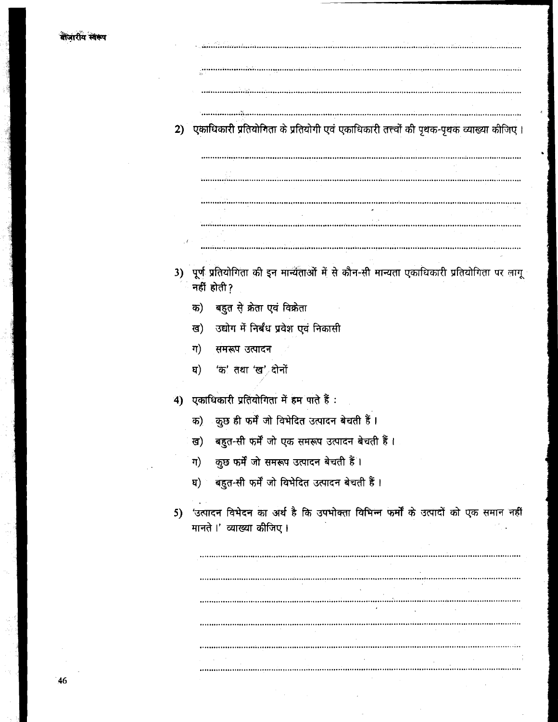$\mathbb{R}^2$ 

 $\bar{\lambda}$ 

| 2) | एकाधिकारी प्रतियोनिता के प्रतियोगी एवं एकाधिकारी तत्त्वों की पृथक-पृथक व्याख्या कीजिए ।                        |
|----|----------------------------------------------------------------------------------------------------------------|
|    |                                                                                                                |
|    |                                                                                                                |
|    |                                                                                                                |
|    |                                                                                                                |
|    |                                                                                                                |
|    | 3) पूर्ण प्रतियोगिता की इन मान्यताओं में से कौन-सी मान्यता एकाधिकारी प्रतियोगिता पर लागू<br>नहीं होती?         |
|    | बहुत से क्रेता एवं विक्रेता<br>क)                                                                              |
|    | उद्योग में निर्बंध प्रवेश एवं निकासी<br>ख)                                                                     |
|    | ग)<br>्समरूप उत्पादन                                                                                           |
|    | 'क' तथा 'ख' दोनों<br>घ)                                                                                        |
| 4) | एकाधिकारी प्रतियोगिता में हम पाते हैं:                                                                         |
|    | कुछ ही फर्में जो विभेदित उत्पादन बेचती हैं।<br>क)                                                              |
|    | बहुत-सी फर्में जो एक समरूप उत्पादन बेचती हैं।<br>ख)                                                            |
|    | कुछ फर्में जो समरूप उत्पादन बेचती हैं।<br>ग)                                                                   |
|    | घ) बहुत-सी फर्में जो विभेदित उत्पादन बेचती हैं।                                                                |
| 5) | 'उत्पादन विभेदन का अर्थ है कि उपभोक्ता विभिन्न फर्मों के उत्पादों को एक समान नहीं<br>मानते ।' व्याख्या कीजिए । |
|    |                                                                                                                |
|    |                                                                                                                |
|    |                                                                                                                |
|    |                                                                                                                |
|    |                                                                                                                |
|    |                                                                                                                |
|    |                                                                                                                |

 $\hat{\mathcal{A}}$ 

 $\hat{\mathcal{L}}$ 

 $\hat{\mathcal{L}}$ 

 $\bar{\mathcal{A}}$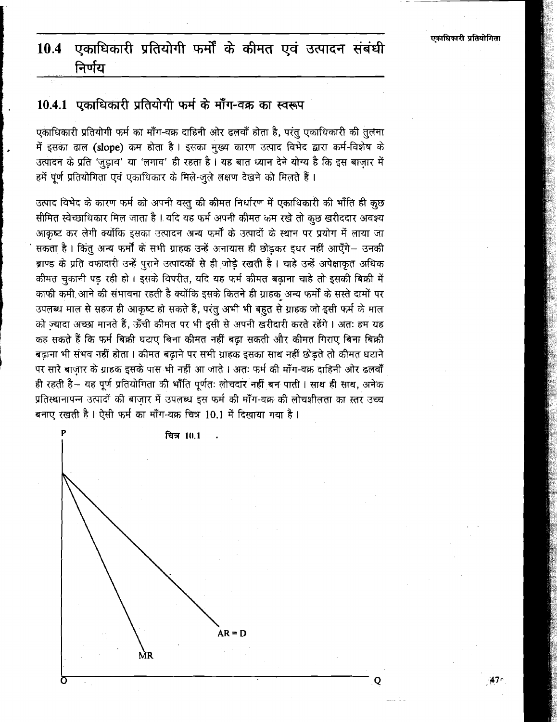### एकाधिकारी प्रतियोगी फर्मों के कीमत एवं उत्पादन संबंधी 10.4 निर्णय

# 10.4.1 एकाधिकारी प्रतियोगी फर्म के माँग-वक्र का स्वरूप

एकाधिकारी प्रतियोगी फर्म का माँग-वक्र दाहिनी ओर ढलवाँ होता है, परंतु एकाधिकारी की तुलना में इसका ढाल (slope) कम होता है। इसका मुख्य कारण उत्पाद विभेद द्वारा कर्म-विशेष के उत्पादन के प्रति 'जुड़ाव' या 'लगाव' ही रहता है। यह बात ध्यान देने योग्य है कि इस बाजार में हमें पूर्ण प्रतियोगिता एवं एकाधिकार के मिले-जुले लक्षण देखने को मिलते हैं।

उत्पाद विभेद के कारण फर्म को अपनी वस्तु की कीमत निर्धारण में एकाधिकारी की भाँति ही कृछ सीमित स्वेच्छाधिकार मिल जाता है। यदि यह फर्म अपनी कीमत कम रखे तो कुछ खरीददार अवश्य आकृष्ट कर लेगी क्योंकि इसका उत्पादन अन्य फर्मों के उत्पादों के स्थान पर प्रयोग में लाया जा सकता है। किंतु अन्य फर्मों के सभी ग्राहक उन्हें अनायास ही छोडकर इधर नहीं आएँगे- उनकी ब्राण्ड के प्रति वफादारी उन्हें पुराने उत्पादकों से ही जोडे रखती है। चाहे उन्हें अपेक्षाकृत अधिक कीमत चुकानी पड़ रही हो । इसके विपरीत, यदि यह फर्म कीमत बढाना चाहे तो इसकी बिक्री में काफी कमी आने की संभावना रहती है क्योंकि इसके कितने ही ग्राहक अन्य फर्मों के सस्ते दामों पर उपलब्ध माल से सहज ही आकृष्ट हो सकते हैं, परंतु अभी भी बहुत से ग्राहक जो इसी फर्म के माल को ज्यादा अच्छा मानते हैं. ऊँची कीमत पर भी इसी से अपनी खरीदारी करते रहेंगे। अतः हम यह कह सकते हैं कि फर्म बिक्री घटाए बिना कीमत नहीं बढ़ा सकती और कीमत गिराए बिना बिक्री बढ़ाना भी संभव नहीं होता । कीमत बढ़ाने पर सभी ग्राहक इसका साथ नहीं छोड़ते तो कीमत घटाने पर सारे बाज़ार के ग्राहक इसके पास भी नहीं आ जाते । अतः फर्म की माँग-वक्र दाहिनी ओर ढलवाँ ही रहती है- यह पूर्ण प्रतियोगिता की भाँति पूर्णतः लोचदार नहीं बन पाती। साथ ही साथ, अनेक प्रतिस्थानापन्न उत्पादों की बाजार में उपलब्ध इस फर्म की माँग-वक्र की लोचशीलता का स्तर उच्च बनाए रखती है। ऐसी फर्म का माँग-वक्र चित्र 10.1 में दिखाया गया है।



Q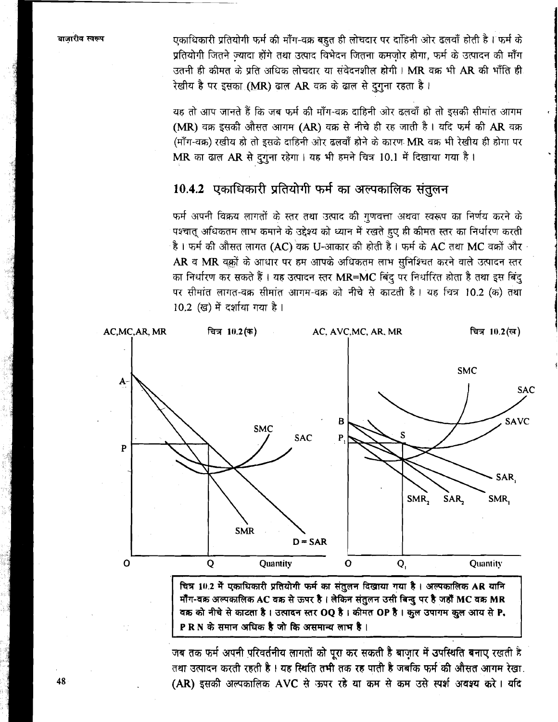एकाधिकारी प्रतियोगी फर्म की माँग-वक्र बहुत ही लोचदार पर दाहिनी ओर ढलवाँ होती है। फर्म के प्रतियोगी जितने ज्यादा होंगे तथा उत्पाद विभेदन जितना कमजोर होगा, फर्म के उत्पादन की माँग उतनी ही कीमत के प्रति अधिक लोचदार या संवेदनशील होगी। MR वक्र भी AR की भाँति ही रेखीय है पर इसका (MR) ढाल AR वक्र के ढाल से दुगुना रहता है।

यह तो आप जानते हैं कि जब फर्म की माँग-वक्र दाहिनी ओर ढलवाँ हो तो इसकी सीमांत आगम (MR) वक्र इसकी औसत आगम (AR) वक्र से नीचे ही रह जाती है। यदि फर्म की AR वक्र (माँग-वक्र) रखीय हो तो इसके दाहिनी ओर ढलवाँ होने के कारण MR वक्र भी रेखीय ही होगा पर MR का ढाल AR से दुगुना रहेगा। यह भी हमने चित्र 10.1 में दिखाया गया है।

# 10.4.2 एकाधिकारी प्रतियोगी फर्म का अल्पकालिक संतुलन

फर्म अपनी विक्रय लागतों के स्तर तथा उत्पाद की गुणवत्ता अथवा स्वरूप का निर्णय करने के पश्चात् अधिकतम लाभ कमाने के उद्देश्य को ध्यान में रखते हुए ही कीमत स्तर का निर्धारण करती है। फर्म की औसत लागत (AC) वक्र U-आकार की होती है। फर्म के AC तथा MC वक्रों और AR व MR वक़ों के आधार पर हम आपके अधिकतम लाभ सुनिश्चित करने वाले उत्पादन स्तर का निर्धारण कर सकते हैं। यह उत्पादन स्तर MR=MC बिंदु पर निर्धारित होता है तथा इस बिंदु पर सीमांत लागत-वक्र सीमांत आगम-वक्र को नीचे से काटती है। यह चित्र 10.2 (क) तथा 10.2 (ख) में दर्शाया गया है।



मॉॅंग-वक्र अल्पकालिक AC वक्र से ऊपर है। लेकिन संतुलन उसी बिन्दु पर है जहाँ MC वक्र MR वक्र को नीचे से काटता है। उत्पादन स्तर OQ है। कीमत OP है। कुल उपागम कुल आय से P. PRN के समान अधिक है जो कि असमान्य लाभ है।

जब तक फर्म अपनी परिवर्तनीय लागतों को पूरा कर सकती है बाज़ार में उपस्थिति बनाए रखती है तथा उत्पादन करती रहती है । यह स्थिति तभी तक रह पाती है जबकि फर्म की औसत आगम रेखा. (AR) इसकी अल्पकालिक AVC से ऊपर रहे या कम से कम उसे स्पर्श अवश्य करे। यदि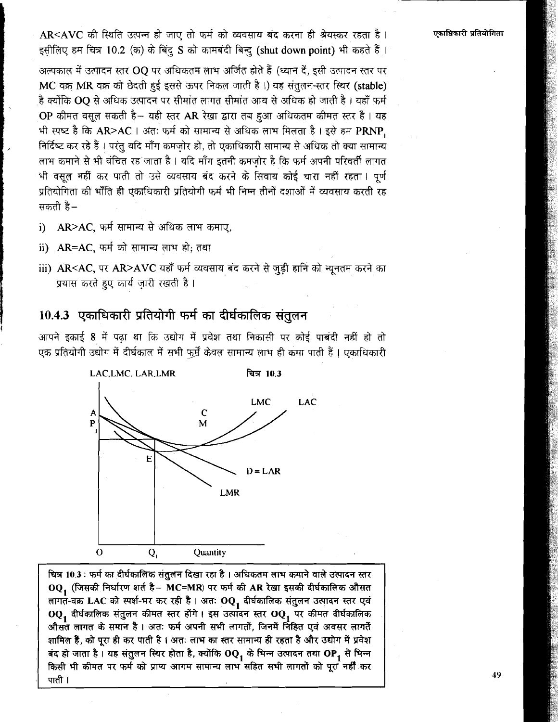एकाधिकारी प्रतियोगिता

 $AR < AVC$  की स्थिति उत्पन्न हो जाए तो फर्म को व्यवसाय बंद करना ही श्रेयस्कर रहता है। इसीलिए हम चित्र 10.2 (क) के बिंदु S को कामबंदी बिन्दु (shut down point) भी कहते हैं।

अल्पकाल में उत्पादन स्तर OQ पर अधिकतम लाभ अर्जित होते हैं (ध्यान दें, इसी उत्पादन स्तर पर  $MC$  वक्र MR वक्र को छेदती हुई इससे ऊपर निकल जाती है।) यह संतुलन-स्तर स्थिर (stable) है क्योंकि OQ से अधिक उत्पादन पर सीमांत लागत सीमांत आय से अधिक हो जाती है। यहाँ फ़र्म  $1$ OP कीमत वसुल सकती है- यही स्तर AR रेखा द्वारा तब हुआ अधिकतम कीमत स्तर है। यह भी स्पष्ट है कि AR>AC | अंतः फर्म को सामान्य से अधिक लाभ मिलता है | इसे हम PRNP, निर्दिष्ट कर रहे हैं । परंतु यदि माँग कमजोर हो, तो एकाधिकारी सामान्य से अधिक तो क्या सामान्य लाभ कमाने से भी वंचित रह<sup>ं</sup>जाता है । यदि माँग इतनी कमजोर है कि फर्म अपनी परिवर्ती लागत भी वसुल नहीं कर पाती तो उसे व्यवसाय बंद करने के सिवाय कोई चारा नहीं रहता । पूर्ण प्रतियोगिता की भाँति ही एकाधिकारी प्रतियोगी फर्म भी निम्न तीनों दशाओं में व्यवसाय करती रह सकती  $\overline{a}$ –

- AR>AC, फर्म सामान्य से अधिक लाभ कमाए.  $\mathbf{i}$
- ii) AR=AC, फर्म को सामान्य लाभ हो; तथा
- iii) AR<AC, पर AR>AVC यहाँ फर्म व्यवसाय बंद करने से जुड़ी हानि को न्यूनतम करने का प्रयास करते हुए कार्य जारी रखती है।

## 10.4.3 एकाधिकारी प्रतियोगी फर्म का दीर्घकालिक संतुलन

आपने इकाई 8 में पढ़ा था कि उद्योग में प्रवेश तथा निकासी पर कोई पाबंदी नहीं हो तो एक प्रतियोगी उद्योग में दीर्घकाल में सभी फर्में केवल सामान्य लाभ ही कमा पाती हैं। एकाधिकारी



OQ, (जिसकी निर्धारण शर्त है- MC=MR) पर फर्म की AR रेखा इसकी दीर्घकालिक औसत लागत-वक्र LAC को स्पर्श-भर कर रही है। अतः OQ<sub>1</sub> दीर्घकालिक संतुलन उत्पादन स्तर एवं  $OQ_1$  दीर्घकालिक संतुलन कीमत स्तर होंगे। इस उत्पादन स्तर  $OQ_1$  पर कीमत दीर्घकालिक औसत लागत के समान है। अतः फर्म अपनी सभी लागतों, जिनमें निहित एवं अवसर लागतें शामिल हैं, को पूरा ही कर पाती है । अतः लाभ का स्तर सामान्य ही रहता है और उद्योग में प्रवेश  $\overline{a}$ द हो जाता है। यह संतुलन स्थिर होता है, क्योंकि OQ, के भिन्न उत्पादन तथा OP, से भिन्न किसी भी कीमत पर फर्म को प्राप्य आगम सामान्य लाभ सहित सभी लागतों को पूरा नहीं कर पाती ।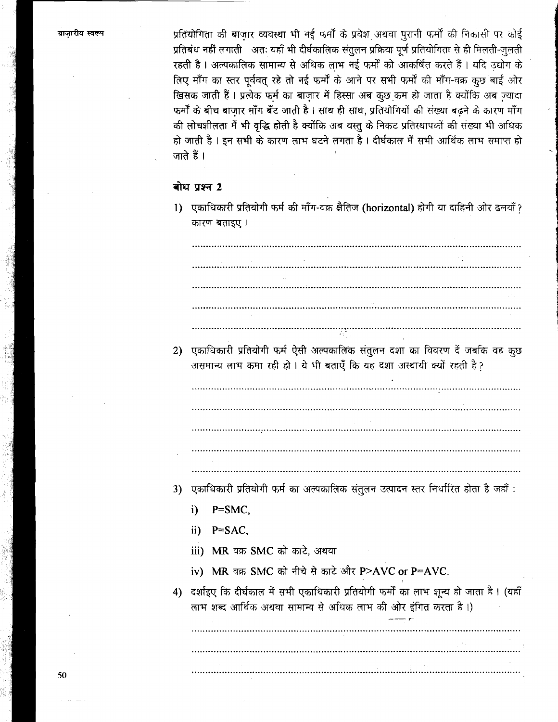प्रतियोगिता की बाजार व्यवस्था भी नई फर्मों के प्रवेश अथवा पुरानी फर्मों की निकासी पर कोई प्रतिबंध नहीं लगाती। अतः यहाँ भी दीर्घकालिक संतुलन प्रक्रिया पूर्ण प्रतियोगिता से ही मिलती-जलती रहती है। अल्पकालिक सामान्य से अधिक लाभ नई फर्मों को आकर्षित करते हैं। यदि उद्योग के लिए माँग का स्तर पूर्ववत् रहे तो नई फर्मों के आने पर सभी फर्मों की माँग-वक्र कुछ बाईं ओर खिसक जाती हैं। प्रत्येक फर्म का बाज़ार में हिस्सा अब कूछ कम हो जाता है क्योंकि अब ज्यादा फर्मों के बीच बाजार माँग बँट जाती है । साथ ही साथ, प्रतियोगियों की संख्या बढने के कारण माँग .<br>की लोचशीलता में भी वृद्धि होती है क्योंकि अब वस्तु के निकट प्रतिस्थापकों की संख्या भी अधिक हो जाती है । इन सभी के कारण लाभ घटने लगता है । दीर्घकाल में सभी आर्थिक लाभ समाप्त हो जाते हैं ।

## बोध प्रश्न 2

1) एकाधिकारी प्रतियोगी फर्म की माँग-वक्र क्षैतिज (horizontal) होगी या दाहिनी ओर ढलवाँ? कारण बताइए।

2) एकाधिकारी प्रतियोगी फर्म ऐसी अल्पकालिक संतुलन दशा का विवरण दें जबकि वह कृछ असमान्य लाभ कमा रही हो। ये भी बताएँ कि यह दशा अस्थायी क्यों रहती है?

- 
- 3) एकाधिकारी प्रतियोगी फर्म का अल्पकालिक संतुलन उत्पादन स्तर निर्धारित होता है जहाँ :
	- i)  $P=SMC$
	- ii)  $P=$ SAC,
	- iii) MR वक्र SMC को काटे. अथवा
	- iv) MR वक्र SMC को नीचे से काटे और P>AVC or P=AVC.
- 4) दर्शाइए कि दीर्घकाल में सभी एकाधिकारी प्रतियोगी फर्मों का लाभ शून्य हो जाता है। (यहाँ लाभ शब्द आर्थिक अथवा सामान्य से अधिक लाभ की ओर इंगित करता है ।)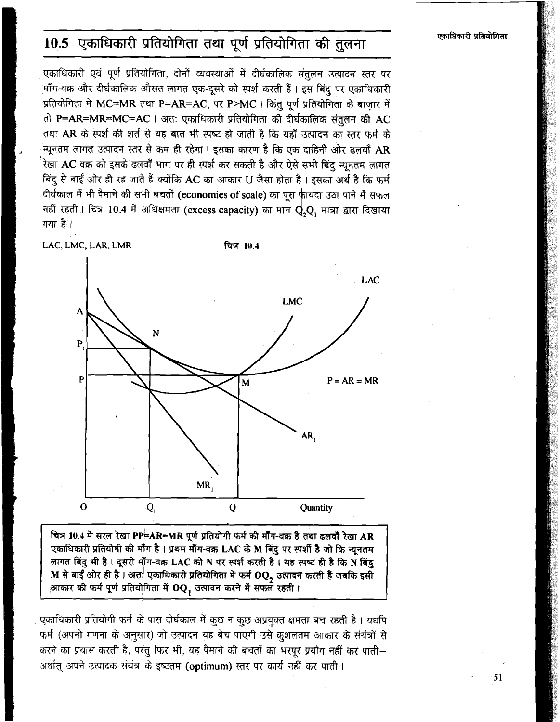# 10.5 एकाधिकारी प्रतियोगिता तथा पूर्ण प्रतियोगिता की तुलना

एकाधिकारी एवं पूर्ण प्रतियोगिता, दोनों व्यवस्थाओं में दीर्घकालिक संतुलन उत्पादन स्तर पर माँग-वक्र और दीर्घकालिक औसत लागत एक-दूसरे को स्पर्श करती हैं। इस बिंदु पर एकाधिकारी प्रतियोगिता में MC=MR तथा P=AR=AC, पर P>MC । किंतु पूर्ण प्रतियोगिता के बाज़ार में तो P=AR=MR=MC=AC | अतः एकाधिकारी प्रतियोगिता की दीर्घकालिक संतुलन की AC तथा AR के स्पर्श की शर्त से यह बात भी स्पष्ट हो जाती है कि यहाँ उत्पादन का स्तर फर्म के न्यूनतम लागत उत्पादन स्तर से कम ही रहेगा। इसका कारण है कि एक दाहिनी ओर ढलवाँ AR रेखा AC वक्र को इसके ढलवाँ भाग पर ही स्पर्श कर सकती है और ऐसे सभी बिंदु न्यूनतम लागत बिंदु से बाईं ओर ही रह जाते हैं क्योंकि AC का आकार U जैसा होता है। इसका अर्थ है कि फर्म दीर्घकाल में भी पैमाने की सभी बचतों (economies of scale) का पूरा फ़ीयदा उठा पाने में सफल नहीं रहती। चित्र 10.4 में अधिक्षमता (excess capacity) का मान  ${\bf Q,Q}$ , मात्रा द्वारा दिखाया गया है।

LAC, LMC, LAR, LMR

चित्र 10.4



चित्र 10.4 में सरल रेखा PP=AR=MR पूर्ण प्रतियोगी फर्म की मॉॅंग-वक्र है तथा ढलवाँ रेखा AR एकाधिकारी प्रतियोगी की माँग है। प्रथम माँग-वक्र LAC के M बिंदु पर स्पर्शी है जो कि न्यूनतम लागत बिंदु भी है। दूसरी माँग-वक्र LAC को N पर स्पर्श करती है। यह स्पष्ट ही है कि N बिंदु M से बाईं ओर ही है । अत<sup>!</sup> एकाधिकारी प्रतियोगिता में फर्म  $\mathbf{OQ_2}$  उत्पादन करती हैं जबकि इसी आकार की फर्म पूर्ण प्रतियोगिता में OQ, उत्पादन करने में सफल रहती।

एकाधिकारी प्रतियोगी फर्म के पास दीर्घकाल में कुछ न कुछ अप्रयुक्त क्षमता बच रहती है। यद्यपि फर्म (अपनी गणना के अनुसार) जो उत्पादन यह बेच पाएगी उसे कुशलतम आकार के संयंत्रों से करने का प्रयास करती है, परंतु फिर भी, यह पैमाने की बचतों का भरपूर प्रयोग नहीं कर पाती-अर्थात् अपने उत्पादक संयंत्र के इष्टतम (optimum) स्तर पर कार्य नहीं कर पाती।

एकाधिकारी प्रतियोगिता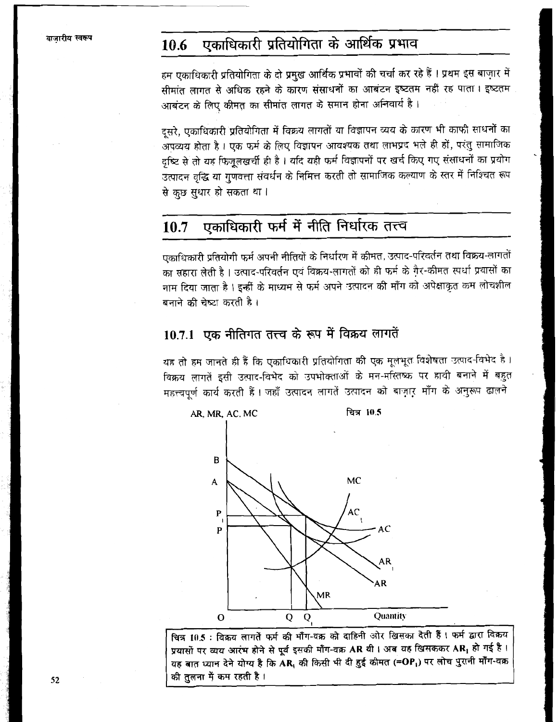### एकाधिकारी प्रतियोगिता के आर्थिक प्रभाव 10.6

हम एकाधिकारी प्रतियोगिता के दो प्रमुख आर्थिक प्रभावों की चर्चा कर रहे हैं । प्रथम इस बाज़ार में सीमांत लागत से अधिक रहने के कारण संसाधनों का आबंटन इष्टतम नहीं रह पाता । इष्टतम आबंटन के लिए कीमत का सीमांत लागत के समान होना अनिवार्य है।

दूसरे, एकाधिकारी प्रतियोगिता में विक्रय लागतों या विज्ञापन व्यय के कारण भी काफी साधनों का अपव्यय होता है। एक फर्म के लिए विज्ञापन आवश्यक तथा लाभप्रद भले ही हों, परंतु सामाजिक दच्चि से तो यह फिजुलखर्ची ही है। यदि यही फर्म विज्ञापनों पर खर्च किए गए संसाधनों का प्रयोग उत्पादन वृद्धि या गुणवत्ता संवर्धन के निमित्त करती तो सामाजिक कल्याण के स्तर में निश्चित रूप से कुछ सुधार हो सकता था।

### एकाधिकारी फर्म में नीति निर्धारक तत्त्व 10.7

एकाधिकारी प्रतियोगी फर्म अपनी नीतियों के निर्धारण में कीमत, उत्पाद-परिवर्तन तथा विक्रय-लागतों का सहारा लेती है। उत्पाद-परिवर्तन एवं विक्रय-लागतों को ही फर्म के गै़र-कीमत स्पर्धा प्रयासों का नाम दिया जाता है। इन्हीं के माध्यम से फर्म अपने उत्पादन की माँग को अपेक्षाकृत कम लोचशील बनाने की चेष्ट्रा करती है ।

# 10.7.1 एक नीतिगत तत्त्व के रूप में विक्रय लागतें

यह तो हम जानते ही हैं कि एकाधिकारी प्रतियोगिता की एक मूलभूत विशेषता उत्पाद-विभेद है। विक्रय लागतें इसी उत्पाद-विभेद को उपभोक्ताओं के मन-मस्तिष्क पर हावी बनाने में बहुत महत्त्वपूर्ण कार्य करती हैं। जहाँ उत्पादन लागतें उत्पादन को बाज़ार माँग के अनुरूप ढालने



चित्र 10.5 : विक्रय लागतें फर्म की माँग-वक्र को दाहिनी ओर खिसका देती हैं। फर्म द्वारा विक्रय प्रयासों पर व्यय आरंभ होने से पूर्व इसकी माँग-वक्र AR थी। अब यह खिसककर AR, हो गई है। यह बात ध्यान देने योग्य है कि AR, की किसी भी दी हुई कीमत (=OP,) पर लोच पुरानी माँग-वक्र की तुलना में कम रहती है।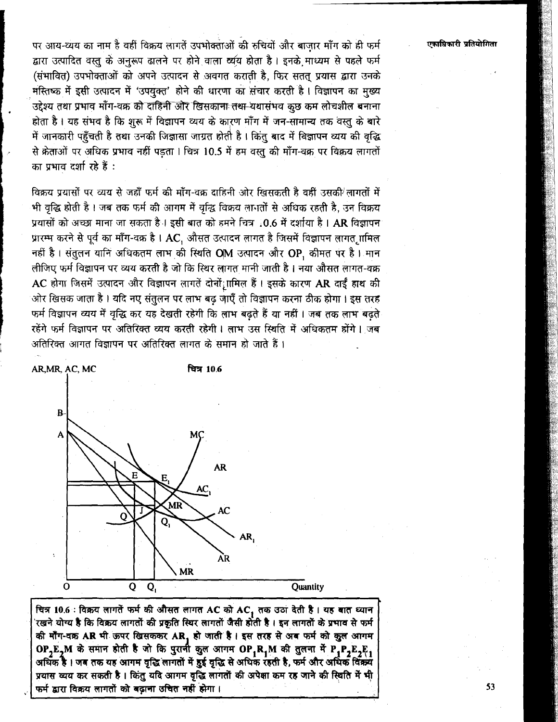पर आय-व्यय का नाम है वहीं विक्रय लागतें उपभोक्ताओं की रुचियों और बाजार माँग को ही फर्म द्वारा उत्पादित वस्तु के अनरूप ढालने पर होने वाला व्यय होता है। इनके माध्यम से पहले फर्म (संभावित) उपभोक्ताओं को अपने उत्पादन से अवगत कराती है, फिर सतत् प्रयास द्वारा उनके मस्तिष्क में इसी उत्पादन में 'उपयक्त' होने की धारणा का संचार करती है। विज्ञापन का मख्य उद्देश्य तथा प्रभाव माँग-वक्र को दाहिनी और खिसका<del>ना तथा </del>यथासंभव कछ कम लोचशील बनाना होता है। यह संभव है कि शुरू में विज्ञापन व्यय के कारण माँग में जन-सामान्य तक वस्तु के बारे में जानकारी पहँचती है तथा उनकी जिज्ञासा जाग्रत होती है। किंत बाद में बिज्ञापन व्यय की वृद्धि से क्रेताओं पर अधिक प्रभाव नहीं पड़ता। चित्र 10.5 में हम वस्त की माँग-वक्र पर विक्रय लागतों का पभाव दर्शा रहे हैं:

विक्रय प्रयासों पर व्यय से जहाँ फर्म की माँग-वक्र दाहिनी ओर खिसकती है वहीं उसकी लागतों में भी वृद्धि होती है। जब तक फर्म की आगम में वृद्धि विक्रय लागतों से अधिक रहती है, उन विक्रय प्रयासों को अच्छा माना जा सकता है। इसी बात को हमने चित्र 10.6 में दर्शाया है। AR विज्ञापन प्रारम्भ करने से पूर्व का माँग-वक्र है। AC, औसत उत्पादन लागत है जिसमें विज्ञापन लागत ृामिल नहीं है। संतुलन यानि अधिकतम लाभ की स्थिति OM उत्पादन और OP, कीमत पर है। मान लीजिए फर्म विज्ञापन पर व्यय करती है जो कि स्थिर लागत मानी जाती है। नया औसत लागत-वक्र AC होगा जिसमें उत्पादन और विज्ञापन लागतें दोनों; ामिल हैं। इसके कारण AR दाईं हाथ की ओर खिसक जाता है। यदि नए संतुलन पर लाभ बढ़ जाएँ तो विज्ञापन करना ठीक होगा। इस तरह फर्म विज्ञापन व्यय में वृद्धि कर यह देखती रहेगी कि लाभ बढ़ते हैं या नहीं । जब तक लाभ बढ़ते रहेंगे फर्म विज्ञापन पर अतिरिक्त व्यय करती रहेगी। लाभ उस स्थिति में अधिकतम होंगे। जब अतिरिक्त आगत विज्ञापन पर अतिरिक्त लागत के समान हो जाते हैं ।



चित्र 10.6 : विक्रय लागतें फर्म की औसत लागत AC को AC<sub>1</sub> तक उठा देती है । यह बात ध्यान<br>'रखने योग्य है कि विक्रय लागतों की प्रकृति स्थिर लागतों जैसी होती है । इन लागतों के प्रभाव से फर्म की माँग-वक्र AR भी ऊपर खिसककर AR, हो जाती है। इस तरह से अब फर्म को कुल आगम OP  $E_2$ M के समान होती है जो कि पुरानी कुल आगम OP  $_1R_1M$  की तुलना में P  $_1P_2E_2F_1$  अधिक है। जब तक यह आगम वृद्धि लागतों में हुई वृद्धि से अधिक रहती है, फर्म और अधिक विक्रय प्रयास व्यय कर सकती है। किंतु यदि आगम वृद्धि लागतों की अपेक्षा कम रह जाने की स्थिति में भी फर्म द्वारा विक्रय लागतों को बढ़ाना उचित नहीं होगा।

एकाधिकारी प्रतियोगिता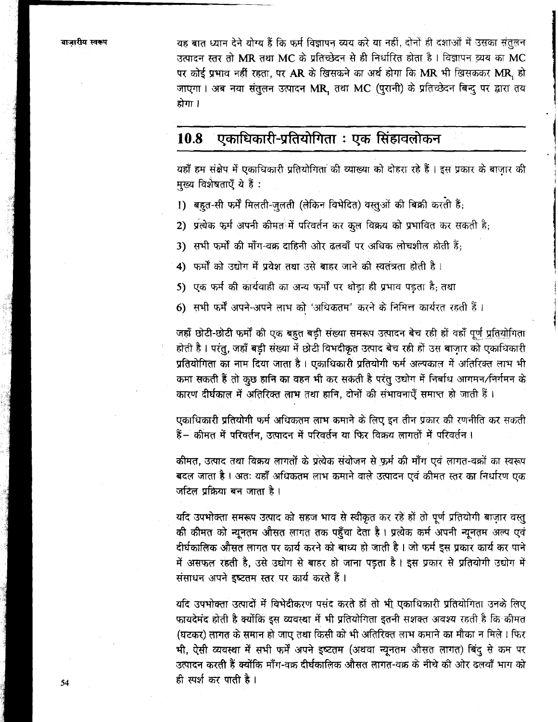बाजारीय स्वरूप

यह बात ध्यान देने योग्य हैं कि फर्म विज्ञापन व्यय करे या नहीं, दोनों ही दशाओं में उसका संतुलन उत्पादन स्तर तो MR तथा MC के प्रतिच्छेदन से ही निर्धारित होता है। विज्ञापन व्यय का MC पर कोई प्रभाव नहीं रहता, पर AR के खिसकने का अर्थ होगा कि MR भी खिसककर MR, हो जाएगा। अब नया संतुलन उत्पादन MR, तथा MC (पुरानी) के प्रतिच्छेदन बिन्दु पर द्वारा तय होगा ।

#### एकाधिकारी-प्रतियोगिता : एक सिंहावलोकन 10.8

यहाँ हम संक्षेप में एकाधिकारी प्रतियोगिता की व्याख्या को दोहरा रहे हैं। इस प्रकार के बाज़ार की मख्य विशेषताएँ ये हैं:

- 1) बहुत-सी फर्में मिलती-जुलती (लेकिन विभेदित) वस्तुओं की बिक्री करती हैं;
- 2) प्रत्येक फर्म अपनी कीमत<sup>े</sup>में परिवर्तन कर कल विक्रय को प्रभावित कर सकती है:
- 3) सभी फर्मों की माँग-वक्र दाहिनी ओर ढलवाँ पर अधिक लोचशील होती हैं:
- 4) फर्मों को उद्योग में प्रवेश तथा उसे बाहर जाने की स्वतंत्रता होती है।
- 5) एक फर्म की कार्यवाही का अन्य फर्मों पर थोड़ा ही प्रभाव पड़ता है; तथा
- 6) सभी फर्में अपने-अपने लाभ को 'अधिकतम' करने के निमित्त कार्यरत रहती हैं।

जहाँ छोटी-छोटी फर्मों की एक बहुत बड़ी संख्या समरूप उत्पादन बेच रही हों वहाँ पूर्ण प्रतियोगिता होती है। परंतु, जहाँ बड़ी संख्या में छोटी विभदीकृत उत्पाद बेच रही हों उस बाजार को एकाधिकारी प्रतियोगिता का नाम दिया जाता है। एकाधिकारी प्रतियोगी फर्म अल्पकाल में अतिरिक्त लाभ भी कमा सकती हैं तो कुछ हानि का वहन भी कर सकती है परंतु उद्योग में निर्बाध आगमन/निर्गमन के कारण दीर्घकाल में अतिरिक्त लाभ तथा हानि, दोनों की संभावनाएँ समाप्त हो जाती हैं।

एकाधिकारी प्रतियोगी फर्म अधिकतम लाभ कमाने के लिए इन तीन प्रकार की रणनीति कर सकती हैं – कीमत में परिवर्तन, उत्पादन में परिवर्तन या फिर विक्रय लागतों में परिवर्तन।

कीमत, उत्पाद तथा विक्रय लागतों के प्रत्येक संयोजन से फर्म की माँग एवं लागत-वक्रों का स्वरूप बदल जाता है । अतः यहाँ अधिकतम लाभ कमाने वाले उत्पादन एवं कीमत स्तर का निर्धारण एक जटिल प्रक्रिया बन जाता है।

यदि उपभोक्ता समरूप उत्पाद को सहज भाव से स्वीकृत कर रहे हों तो पूर्ण प्रतियोगी बाज़ार वस्तु की कीमत को न्यूनतम औसत लागत तक पहुँचा देता है। प्रत्येक कर्म अपनी न्यूनतम अल्प एवं दीर्घकालिक औसत लागत पर कार्य करने को बाध्य हो जाती है । जो फर्म इस प्रकार कार्य कर पाने में असफल रहती है, उसे उद्योग से बाहर हो जाना पड़ता है। इस प्रकार से प्रतियोगी उद्योग में संसाधन अपने इष्टतम स्तर पर कार्य करते हैं।

यदि उपभोक्ता उत्पादों में विभेदीकरण पसंद करते हों तो भी एकाधिकारी प्रतियोगिता उनके लिए फायदेमंद होती है क्योंकि इस व्यवस्था में भी प्रतियोगिता इतनी सशक्त अवश्य रहती है कि कीमत (घटकर) लागत के समान हो जाए तथा किसी को भी अतिरिक्त लाभ कमाने का मौका न मिले। फिर भी, ऐसी व्यवस्था में सभी फर्में अपने इष्टतम (अथवा न्यूनतम औसत लागत) बिंदु से कम पर उत्पादन करती हैं क्योंकि माँग-वक्र दीर्घकालिक औसत लागत-वक्र के नीचे की ओर ढलवाँ भाग को ही स्पर्श कर पाती है।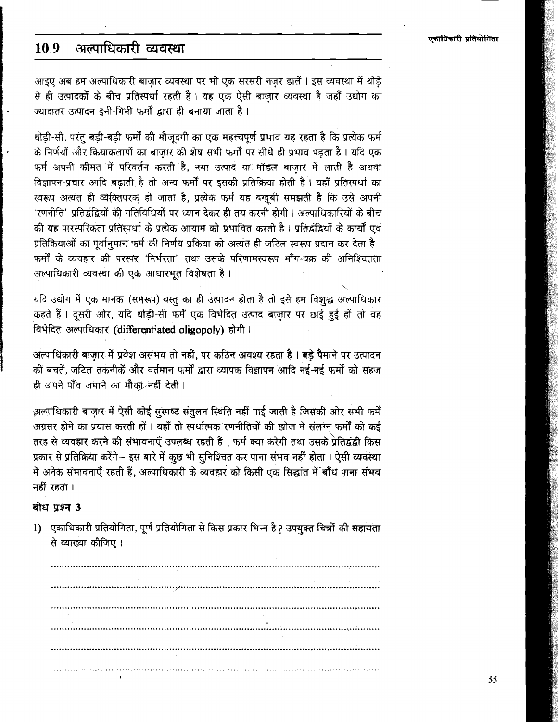#### अल्पाधिकारी व्यवस्था 10.9

आइए अब हम अल्पाधिकारी बाज़ार व्यवस्था पर भी एक सरसरी नज़र डालें । इस व्यवस्था में थोड़े से ही उत्पादकों के बीच प्रतिस्पर्धा रहती है। यह एक ऐसी बाजार व्यवस्था है जहाँ उद्योग का ज्यादातर उत्पादन इनी-गिनी फर्मों द्वारा ही बनाया जाता है।

थोडी-सी, परंतु बडी-बडी फर्मों की मौजूदगी का एक महत्त्वपूर्ण प्रभाव यह रहता है कि प्रत्येक फर्म के निर्णयों और क्रियाकलापों का बाजार की शेष सभी फर्मों पर सीधे ही प्रभाव पडता है। यदि एक फर्म अपनी कीमत में परिवर्तन करती है, नया उत्पाद या मॉडल बाजार में लाती है अथवा विज्ञापन-प्रचार आदि बढाती है तो अन्य फर्मों पर इसकी प्रतिक्रिया होती है। यहाँ प्रतिस्पर्धा का स्वरूप अत्यंत ही व्येक्तिपरक हो जाता है, प्रत्येक फर्म यह बखुबी समझती है कि उसे अपनी 'रणनीति' प्रतिद्वंद्वियों की गतिविधियों पर ध्यान देकर ही तय करनी होगी । अल्पाधिकारियों के बीच की यह पारस्परिकता प्रतिस्पर्धा के प्रत्येक आयाम को प्रभावित करती है। प्रतिद्वंद्वियों के कार्यों एवं प्रतिक्रियाओं का पर्वानमान फर्म की निर्णय प्रक्रिया को अत्यंत ही जटिल स्वरूप प्रदान कर देता है। फर्मों के व्यवहार की परस्पर 'निर्भरता' तथा उसके परिणामस्वरूप माँग-वक्र की अनिश्चितता अल्पाधिकारी व्यवस्था की एक आधारभुत विशेषता है।

यदि उद्योग में एक मानक (समरूप) वस्तु का ही उत्पादन होता है तो इसे हम विशुद्ध अल्पाधिकार कहते हैं। दूसरी ओर, यदि थोड़ी-सी फर्में एक विभेदित उत्पाद बाजार पर छाई हुई हों तो वह विभेदित अल्पाधिकार (differentiated oligopoly) होगी।

अल्पाधिकारी बाजार में प्रवेश असंभव तो नहीं, पर कठिन अवश्य रहता है। बड़े पैमाने पर उत्पादन की बचतें, जटिल तकनीकें और वर्तमान फर्मों द्वारा व्यापक विज्ञापन आदि नई-नई फर्मों को सहज ही अपने पाँव जमाने का मौका नहीं देती।

अल्पाधिकारी बाज़ार में ऐसी कोई सुस्पष्ट सतुलन स्थिति नहीं पाई जाती है जिसकी ओर सभी फर्में अग्रसर होने का प्रयास करती हों । यहाँ तो स्पर्धात्मक रणनीतियों की खोज में संलग्न फर्मों को कई तरह से व्यवहार करने की संभावनाएँ उपलब्ध रहती हैं। फर्म क्या करेगी तथा उसके प्रेतिद्वंद्वी किस प्रकार से प्रतिक्रिया करेंगे– इस बारे में कुछ भी सुनिश्चित कर पाना संभव नहीं होता । ऐसी व्यवस्था में अनेक संभावनाएँ रहती हैं, अल्पाधिकारी के व्यवहार को किसी एक सिद्धांत में बाँध पाना संभव नहीं रहता ।

### बोध प्रश्न 3

1) एकाधिकारी प्रतियोगिता, पूर्ण प्रतियोगिता से किस प्रकार भिन्न है ? उपयुक्त चित्रों की सहायता से व्याख्या कीजिए।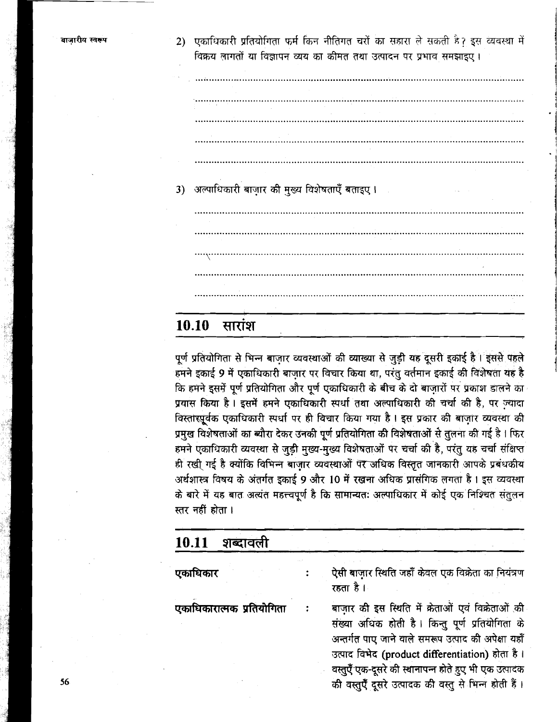2) एकाधिकारी प्रतियोगिता फर्म किन नीतिगत चरों का सहारा ले सकती है? इस व्यवस्था में विक्रय लागतों या विज्ञापन व्यय का कीमत तथा उत्पादन पर प्रभाव समझाइए।

3) अल्पाधिकारी बाज़ार की मुख्य विशेषताएँ बताइए।

#### 10.10 सारांश

पूर्ण प्रतियोगिता से भिन्न बाज़ार व्यवस्थाओं की व्याख्या से जुड़ी यह दूसरी इकाई है। इससे पहले हमने इकाई 9 में एकाधिकारी बाज़ार पर विचार किया था, परंतु वर्तमान इकाई की विशेषता यह है कि हमने इसमें पूर्ण प्रतियोगिता और पूर्ण एकाधिकारी के बीच के दो बाजारों पर प्रकाश डालने का प्रयास किया है। इसमें हमने एकाधिकारी स्पर्धा तथा अल्पाधिकारी की चर्चा की है, पर ज़्यादा विस्तारपूर्वक एकाधिकारी स्पर्धा पर ही विचार किया गया है। इस प्रकार की बाज़ार व्यवस्था की प्रमुख विशेषताओं का ब्यौरा देकर उनकी पूर्ण प्रतियोगिता की विशेषताओं से तुलना की गई है। फिर हमने एकाधिकारी व्यवस्था से जुड़ी मुख्य-मुख्य विशेषताओं पर चर्चा की है, परंतु यह चर्चा संक्षिप्त ही रखी गई है क्योंकि विभिन्न बाज़ार व्यवस्थाओं पर अधिक विस्तृत जानकारी आपके प्रबंधकीय अर्थशास्त्र विषय के अंतर्गत इकाई 9 और 10 में रखना अधिक प्रासंगिक लगता है। इस व्यवस्था के बारे में यह बात अत्यंत महत्त्वपूर्ण है कि सामान्यतः अल्पाधिकार में कोई एक निश्चित संतुलन स्तर नहीं होता।

#### शब्दावली 10.11

ऐसी बाजार स्थिति जहाँ केवल एक विक्रेता का नियंत्रण एकाधिकार  $\ddot{\cdot}$ रहता है । बाज़ार की इस स्थिति में क्रेताओं एवं विक्रेताओं की एकाधिकारात्मक प्रतियोगिता संख्या अधिक होती है। किन्तु पूर्ण प्रतियोगिता के अन्तर्गत पाए जाने वाले समरूप उत्पाद की अपेक्षा यहाँ उत्पाद विभेद (product differentiation) होता है। वस्तुएँ एक-दूसरे की स्थानापन्न होते हुए भी एक उत्पादक

की वस्तुएँ दूसरे उत्पादक की वस्तु से भिन्न होती हैं।